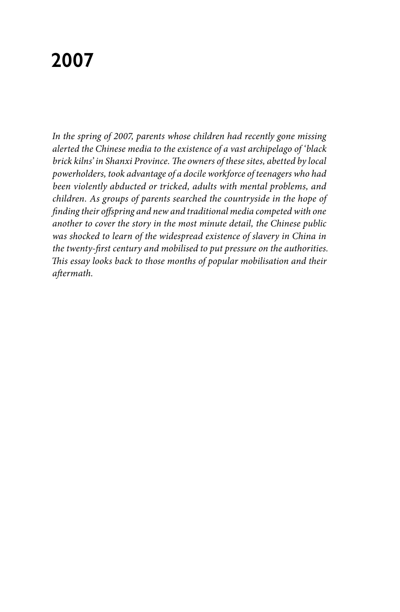## **2007**

*In the spring of 2007, parents whose children had recently gone missing alerted the Chinese media to the existence of a vast archipelago of 'black brick kilns' in Shanxi Province. The owners of these sites, abetted by local powerholders, took advantage of a docile workforce of teenagers who had been violently abducted or tricked, adults with mental problems, and children. As groups of parents searched the countryside in the hope of finding their offspring and new and traditional media competed with one another to cover the story in the most minute detail, the Chinese public was shocked to learn of the widespread existence of slavery in China in the twenty-first century and mobilised to put pressure on the authorities. This essay looks back to those months of popular mobilisation and their aftermath.*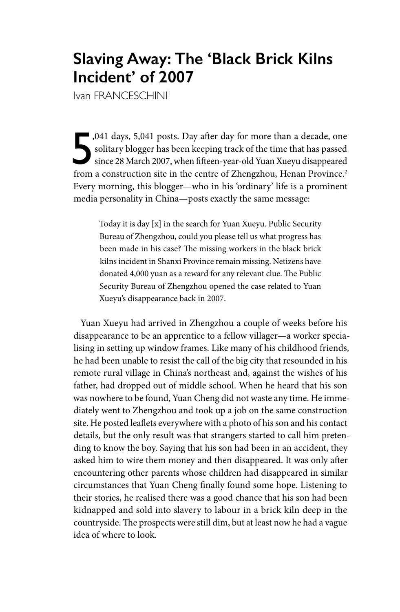## **Slaving Away: The 'Black Brick Kilns Incident' of 2007**

Ivan FRANCESCHINI<sup>1</sup>

,041 days, 5,041 posts. Day after day for more than a decade, one solitary blogger has been keeping track of the time that has passed since 28 March 2007, when fifteen-year-old Yuan Xueyu disappeared from a construction si solitary blogger has been keeping track of the time that has passed since 28 March 2007, when fifteen-year-old Yuan Xueyu disappeared from a construction site in the centre of Zhengzhou, Henan Province.<sup>2</sup> Every morning, this blogger—who in his 'ordinary' life is a prominent media personality in China—posts exactly the same message:

Today it is day [x] in the search for Yuan Xueyu. Public Security Bureau of Zhengzhou, could you please tell us what progress has been made in his case? The missing workers in the black brick kilns incident in Shanxi Province remain missing. Netizens have donated 4,000 yuan as a reward for any relevant clue. The Public Security Bureau of Zhengzhou opened the case related to Yuan Xueyu's disappearance back in 2007.

Yuan Xueyu had arrived in Zhengzhou a couple of weeks before his disappearance to be an apprentice to a fellow villager—a worker specialising in setting up window frames. Like many of his childhood friends, he had been unable to resist the call of the big city that resounded in his remote rural village in China's northeast and, against the wishes of his father, had dropped out of middle school. When he heard that his son was nowhere to be found, Yuan Cheng did not waste any time. He immediately went to Zhengzhou and took up a job on the same construction site. He posted leaflets everywhere with a photo of his son and his contact details, but the only result was that strangers started to call him pretending to know the boy. Saying that his son had been in an accident, they asked him to wire them money and then disappeared. It was only after encountering other parents whose children had disappeared in similar circumstances that Yuan Cheng finally found some hope. Listening to their stories, he realised there was a good chance that his son had been kidnapped and sold into slavery to labour in a brick kiln deep in the countryside. The prospects were still dim, but at least now he had a vague idea of where to look.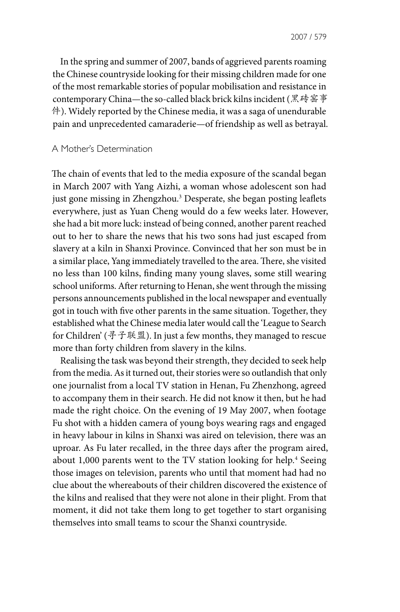In the spring and summer of 2007, bands of aggrieved parents roaming the Chinese countryside looking for their missing children made for one of the most remarkable stories of popular mobilisation and resistance in contemporary China—the so-called black brick kilns incident (黑砖窑事 件). Widely reported by the Chinese media, it was a saga of unendurable pain and unprecedented camaraderie—of friendship as well as betrayal.

## A Mother's Determination

The chain of events that led to the media exposure of the scandal began in March 2007 with Yang Aizhi, a woman whose adolescent son had just gone missing in Zhengzhou.<sup>3</sup> Desperate, she began posting leaflets everywhere, just as Yuan Cheng would do a few weeks later. However, she had a bit more luck: instead of being conned, another parent reached out to her to share the news that his two sons had just escaped from slavery at a kiln in Shanxi Province. Convinced that her son must be in a similar place, Yang immediately travelled to the area. There, she visited no less than 100 kilns, finding many young slaves, some still wearing school uniforms. After returning to Henan, she went through the missing persons announcements published in the local newspaper and eventually got in touch with five other parents in the same situation. Together, they established what the Chinese media later would call the 'League to Search for Children' (寻子联盟). In just a few months, they managed to rescue more than forty children from slavery in the kilns.

Realising the task was beyond their strength, they decided to seek help from the media. As it turned out, their stories were so outlandish that only one journalist from a local TV station in Henan, Fu Zhenzhong, agreed to accompany them in their search. He did not know it then, but he had made the right choice. On the evening of 19 May 2007, when footage Fu shot with a hidden camera of young boys wearing rags and engaged in heavy labour in kilns in Shanxi was aired on television, there was an uproar. As Fu later recalled, in the three days after the program aired, about 1,000 parents went to the TV station looking for help.<sup>4</sup> Seeing those images on television, parents who until that moment had had no clue about the whereabouts of their children discovered the existence of the kilns and realised that they were not alone in their plight. From that moment, it did not take them long to get together to start organising themselves into small teams to scour the Shanxi countryside.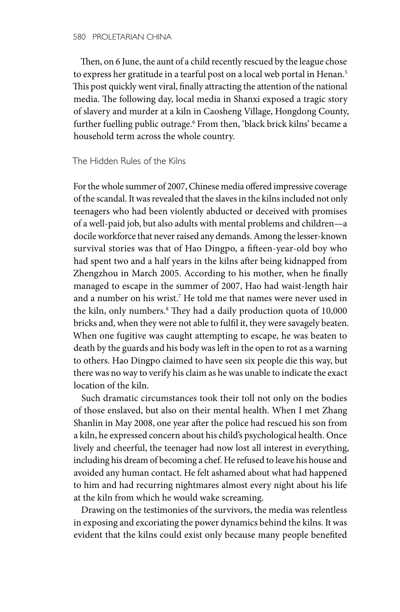Then, on 6 June, the aunt of a child recently rescued by the league chose to express her gratitude in a tearful post on a local web portal in Henan.<sup>5</sup> This post quickly went viral, finally attracting the attention of the national media. The following day, local media in Shanxi exposed a tragic story of slavery and murder at a kiln in Caosheng Village, Hongdong County, further fuelling public outrage.<sup>6</sup> From then, 'black brick kilns' became a household term across the whole country.

The Hidden Rules of the Kilns

For the whole summer of 2007, Chinese media offered impressive coverage of the scandal. It was revealed that the slaves in the kilns included not only teenagers who had been violently abducted or deceived with promises of a well-paid job, but also adults with mental problems and children—a docile workforce that never raised any demands. Among the lesser-known survival stories was that of Hao Dingpo, a fifteen-year-old boy who had spent two and a half years in the kilns after being kidnapped from Zhengzhou in March 2005. According to his mother, when he finally managed to escape in the summer of 2007, Hao had waist-length hair and a number on his wrist.<sup>7</sup> He told me that names were never used in the kiln, only numbers.8 They had a daily production quota of 10,000 bricks and, when they were not able to fulfil it, they were savagely beaten. When one fugitive was caught attempting to escape, he was beaten to death by the guards and his body was left in the open to rot as a warning to others. Hao Dingpo claimed to have seen six people die this way, but there was no way to verify his claim as he was unable to indicate the exact location of the kiln.

Such dramatic circumstances took their toll not only on the bodies of those enslaved, but also on their mental health. When I met Zhang Shanlin in May 2008, one year after the police had rescued his son from a kiln, he expressed concern about his child's psychological health. Once lively and cheerful, the teenager had now lost all interest in everything, including his dream of becoming a chef. He refused to leave his house and avoided any human contact. He felt ashamed about what had happened to him and had recurring nightmares almost every night about his life at the kiln from which he would wake screaming.

Drawing on the testimonies of the survivors, the media was relentless in exposing and excoriating the power dynamics behind the kilns. It was evident that the kilns could exist only because many people benefited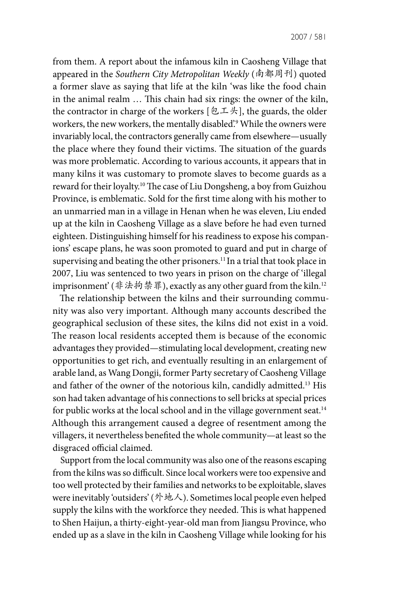from them. A report about the infamous kiln in Caosheng Village that appeared in the *Southern City Metropolitan Weekly* (南都周刊) quoted a former slave as saying that life at the kiln 'was like the food chain in the animal realm … This chain had six rings: the owner of the kiln, the contractor in charge of the workers  $[\mathfrak{L} \mathfrak{I} \mathfrak{K}],$  the guards, the older workers, the new workers, the mentally disabled'.9 While the owners were invariably local, the contractors generally came from elsewhere—usually the place where they found their victims. The situation of the guards was more problematic. According to various accounts, it appears that in many kilns it was customary to promote slaves to become guards as a reward for their loyalty.10 The case of Liu Dongsheng, a boy from Guizhou Province, is emblematic. Sold for the first time along with his mother to an unmarried man in a village in Henan when he was eleven, Liu ended up at the kiln in Caosheng Village as a slave before he had even turned eighteen. Distinguishing himself for his readiness to expose his companions' escape plans, he was soon promoted to guard and put in charge of supervising and beating the other prisoners.<sup>11</sup> In a trial that took place in 2007, Liu was sentenced to two years in prison on the charge of 'illegal imprisonment' (非法拘禁罪), exactly as any other guard from the kiln.<sup>12</sup>

The relationship between the kilns and their surrounding community was also very important. Although many accounts described the geographical seclusion of these sites, the kilns did not exist in a void. The reason local residents accepted them is because of the economic advantages they provided—stimulating local development, creating new opportunities to get rich, and eventually resulting in an enlargement of arable land, as Wang Dongji, former Party secretary of Caosheng Village and father of the owner of the notorious kiln, candidly admitted.13 His son had taken advantage of his connections to sell bricks at special prices for public works at the local school and in the village government seat.<sup>14</sup> Although this arrangement caused a degree of resentment among the villagers, it nevertheless benefited the whole community—at least so the disgraced official claimed.

Support from the local community was also one of the reasons escaping from the kilns was so difficult. Since local workers were too expensive and too well protected by their families and networks to be exploitable, slaves were inevitably 'outsiders' (外地人). Sometimes local people even helped supply the kilns with the workforce they needed. This is what happened to Shen Haijun, a thirty-eight-year-old man from Jiangsu Province, who ended up as a slave in the kiln in Caosheng Village while looking for his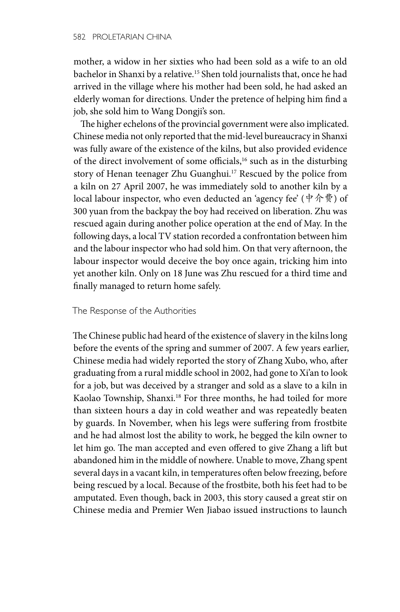mother, a widow in her sixties who had been sold as a wife to an old bachelor in Shanxi by a relative.15 Shen told journalists that, once he had arrived in the village where his mother had been sold, he had asked an elderly woman for directions. Under the pretence of helping him find a job, she sold him to Wang Dongji's son.

The higher echelons of the provincial government were also implicated. Chinese media not only reported that the mid-level bureaucracy in Shanxi was fully aware of the existence of the kilns, but also provided evidence of the direct involvement of some officials,<sup>16</sup> such as in the disturbing story of Henan teenager Zhu Guanghui.<sup>17</sup> Rescued by the police from a kiln on 27 April 2007, he was immediately sold to another kiln by a local labour inspector, who even deducted an 'agency fee' (中介费) of 300 yuan from the backpay the boy had received on liberation. Zhu was rescued again during another police operation at the end of May. In the following days, a local TV station recorded a confrontation between him and the labour inspector who had sold him. On that very afternoon, the labour inspector would deceive the boy once again, tricking him into yet another kiln. Only on 18 June was Zhu rescued for a third time and finally managed to return home safely.

## The Response of the Authorities

The Chinese public had heard of the existence of slavery in the kilns long before the events of the spring and summer of 2007. A few years earlier, Chinese media had widely reported the story of Zhang Xubo, who, after graduating from a rural middle school in 2002, had gone to Xi'an to look for a job, but was deceived by a stranger and sold as a slave to a kiln in Kaolao Township, Shanxi.<sup>18</sup> For three months, he had toiled for more than sixteen hours a day in cold weather and was repeatedly beaten by guards. In November, when his legs were suffering from frostbite and he had almost lost the ability to work, he begged the kiln owner to let him go. The man accepted and even offered to give Zhang a lift but abandoned him in the middle of nowhere. Unable to move, Zhang spent several days in a vacant kiln, in temperatures often below freezing, before being rescued by a local. Because of the frostbite, both his feet had to be amputated. Even though, back in 2003, this story caused a great stir on Chinese media and Premier Wen Jiabao issued instructions to launch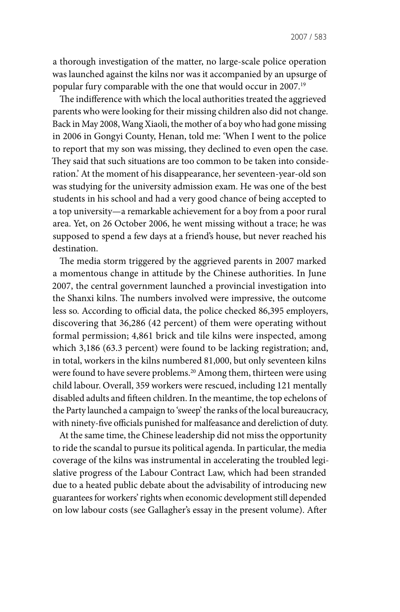a thorough investigation of the matter, no large-scale police operation was launched against the kilns nor was it accompanied by an upsurge of popular fury comparable with the one that would occur in 2007.19

The indifference with which the local authorities treated the aggrieved parents who were looking for their missing children also did not change. Back in May 2008, Wang Xiaoli, the mother of a boy who had gone missing in 2006 in Gongyi County, Henan, told me: 'When I went to the police to report that my son was missing, they declined to even open the case. They said that such situations are too common to be taken into consideration.' At the moment of his disappearance, her seventeen-year-old son was studying for the university admission exam. He was one of the best students in his school and had a very good chance of being accepted to a top university—a remarkable achievement for a boy from a poor rural area. Yet, on 26 October 2006, he went missing without a trace; he was supposed to spend a few days at a friend's house, but never reached his destination.

The media storm triggered by the aggrieved parents in 2007 marked a momentous change in attitude by the Chinese authorities. In June 2007, the central government launched a provincial investigation into the Shanxi kilns. The numbers involved were impressive, the outcome less so. According to official data, the police checked 86,395 employers, discovering that 36,286 (42 percent) of them were operating without formal permission; 4,861 brick and tile kilns were inspected, among which 3,186 (63.3 percent) were found to be lacking registration; and, in total, workers in the kilns numbered 81,000, but only seventeen kilns were found to have severe problems.<sup>20</sup> Among them, thirteen were using child labour. Overall, 359 workers were rescued, including 121 mentally disabled adults and fifteen children. In the meantime, the top echelons of the Party launched a campaign to 'sweep' the ranks of the local bureaucracy, with ninety-five officials punished for malfeasance and dereliction of duty.

At the same time, the Chinese leadership did not miss the opportunity to ride the scandal to pursue its political agenda. In particular, the media coverage of the kilns was instrumental in accelerating the troubled legislative progress of the Labour Contract Law, which had been stranded due to a heated public debate about the advisability of introducing new guarantees for workers' rights when economic development still depended on low labour costs (see Gallagher's essay in the present volume). After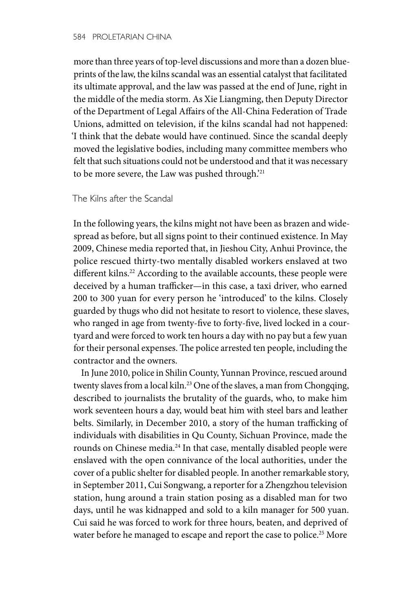more than three years of top-level discussions and more than a dozen blueprints of the law, the kilns scandal was an essential catalyst that facilitated its ultimate approval, and the law was passed at the end of June, right in the middle of the media storm. As Xie Liangming, then Deputy Director of the Department of Legal Affairs of the All-China Federation of Trade Unions, admitted on television, if the kilns scandal had not happened: 'I think that the debate would have continued. Since the scandal deeply moved the legislative bodies, including many committee members who felt that such situations could not be understood and that it was necessary to be more severe, the Law was pushed through.'21

The Kilns after the Scandal

In the following years, the kilns might not have been as brazen and widespread as before, but all signs point to their continued existence. In May 2009, Chinese media reported that, in Jieshou City, Anhui Province, the police rescued thirty-two mentally disabled workers enslaved at two different kilns.<sup>22</sup> According to the available accounts, these people were deceived by a human trafficker—in this case, a taxi driver, who earned 200 to 300 yuan for every person he 'introduced' to the kilns. Closely guarded by thugs who did not hesitate to resort to violence, these slaves, who ranged in age from twenty-five to forty-five, lived locked in a courtyard and were forced to work ten hours a day with no pay but a few yuan for their personal expenses. The police arrested ten people, including the contractor and the owners.

In June 2010, police in Shilin County, Yunnan Province, rescued around twenty slaves from a local kiln.<sup>23</sup> One of the slaves, a man from Chongqing, described to journalists the brutality of the guards, who, to make him work seventeen hours a day, would beat him with steel bars and leather belts. Similarly, in December 2010, a story of the human trafficking of individuals with disabilities in Qu County, Sichuan Province, made the rounds on Chinese media.<sup>24</sup> In that case, mentally disabled people were enslaved with the open connivance of the local authorities, under the cover of a public shelter for disabled people. In another remarkable story, in September 2011, Cui Songwang, a reporter for a Zhengzhou television station, hung around a train station posing as a disabled man for two days, until he was kidnapped and sold to a kiln manager for 500 yuan. Cui said he was forced to work for three hours, beaten, and deprived of water before he managed to escape and report the case to police.<sup>25</sup> More